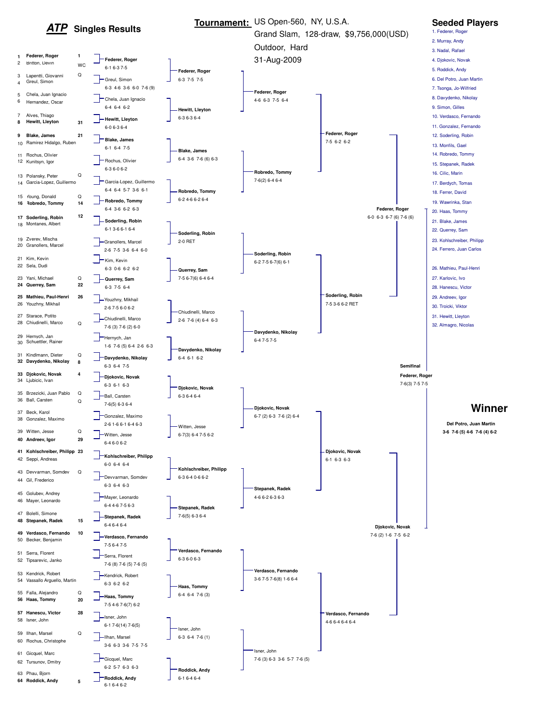